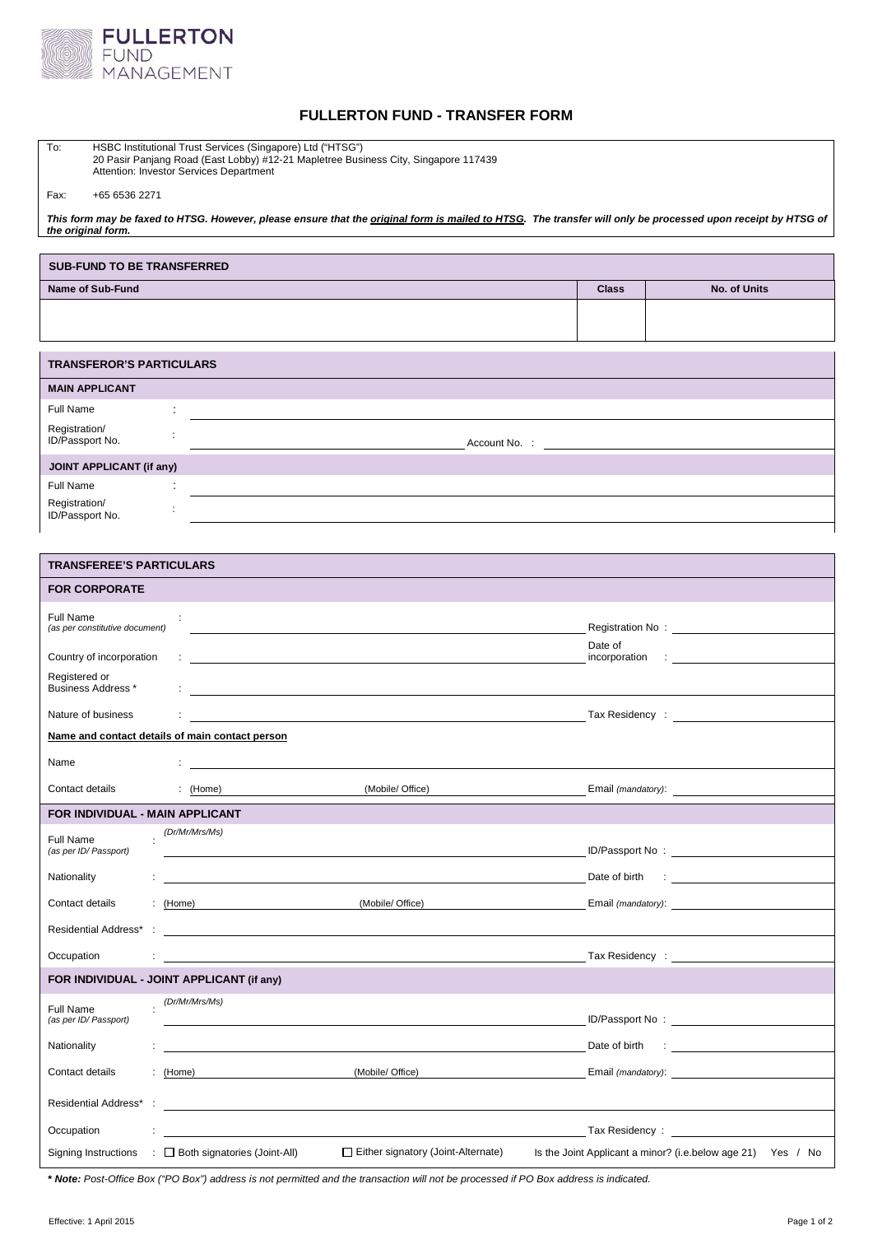

## **FULLERTON FUND - TRANSFER FORM**

| To:<br>HSBC Institutional Trust Services (Singapore) Ltd ("HTSG")<br>20 Pasir Panjang Road (East Lobby) #12-21 Mapletree Business City, Singapore 117439<br>Attention: Investor Services Department |                                                                                                                       |                                                                                                                                        |                          |                                                                                                                                                                                                                                |  |
|-----------------------------------------------------------------------------------------------------------------------------------------------------------------------------------------------------|-----------------------------------------------------------------------------------------------------------------------|----------------------------------------------------------------------------------------------------------------------------------------|--------------------------|--------------------------------------------------------------------------------------------------------------------------------------------------------------------------------------------------------------------------------|--|
| Fax:<br>+65 6536 2271                                                                                                                                                                               |                                                                                                                       |                                                                                                                                        |                          |                                                                                                                                                                                                                                |  |
| This form may be faxed to HTSG. However, please ensure that the original form is mailed to HTSG. The transfer will only be processed upon receipt by HTSG of                                        |                                                                                                                       |                                                                                                                                        |                          |                                                                                                                                                                                                                                |  |
| the original form.                                                                                                                                                                                  |                                                                                                                       |                                                                                                                                        |                          |                                                                                                                                                                                                                                |  |
| <b>SUB-FUND TO BE TRANSFERRED</b>                                                                                                                                                                   |                                                                                                                       |                                                                                                                                        |                          |                                                                                                                                                                                                                                |  |
| <b>Name of Sub-Fund</b>                                                                                                                                                                             |                                                                                                                       |                                                                                                                                        | <b>Class</b>             | No. of Units                                                                                                                                                                                                                   |  |
|                                                                                                                                                                                                     |                                                                                                                       |                                                                                                                                        |                          |                                                                                                                                                                                                                                |  |
|                                                                                                                                                                                                     |                                                                                                                       |                                                                                                                                        |                          |                                                                                                                                                                                                                                |  |
| <b>TRANSFEROR'S PARTICULARS</b>                                                                                                                                                                     |                                                                                                                       |                                                                                                                                        |                          |                                                                                                                                                                                                                                |  |
| <b>MAIN APPLICANT</b>                                                                                                                                                                               |                                                                                                                       |                                                                                                                                        |                          |                                                                                                                                                                                                                                |  |
| Full Name                                                                                                                                                                                           | ÷                                                                                                                     |                                                                                                                                        |                          |                                                                                                                                                                                                                                |  |
| Registration/<br>ID/Passport No.                                                                                                                                                                    |                                                                                                                       | Account No. :<br><u> 1989 - Johann Harry Harry Harry Harry Harry Harry Harry Harry Harry Harry Harry Harry Harry Harry Harry Harry</u> |                          |                                                                                                                                                                                                                                |  |
| <b>JOINT APPLICANT (if any)</b>                                                                                                                                                                     |                                                                                                                       |                                                                                                                                        |                          |                                                                                                                                                                                                                                |  |
| Full Name<br>Registration/                                                                                                                                                                          |                                                                                                                       |                                                                                                                                        |                          |                                                                                                                                                                                                                                |  |
| ID/Passport No.                                                                                                                                                                                     |                                                                                                                       |                                                                                                                                        |                          |                                                                                                                                                                                                                                |  |
|                                                                                                                                                                                                     |                                                                                                                       |                                                                                                                                        |                          |                                                                                                                                                                                                                                |  |
| <b>TRANSFEREE'S PARTICULARS</b>                                                                                                                                                                     |                                                                                                                       |                                                                                                                                        |                          |                                                                                                                                                                                                                                |  |
| <b>FOR CORPORATE</b>                                                                                                                                                                                |                                                                                                                       |                                                                                                                                        |                          |                                                                                                                                                                                                                                |  |
| Full Name<br>(as per constitutive document)                                                                                                                                                         |                                                                                                                       |                                                                                                                                        |                          |                                                                                                                                                                                                                                |  |
| Country of incorporation                                                                                                                                                                            |                                                                                                                       |                                                                                                                                        | Date of<br>incorporation |                                                                                                                                                                                                                                |  |
| Registered or<br>Business Address *                                                                                                                                                                 |                                                                                                                       | and the control of the control of the control of the control of the control of the control of the control of the                       |                          |                                                                                                                                                                                                                                |  |
| Nature of business                                                                                                                                                                                  |                                                                                                                       |                                                                                                                                        |                          |                                                                                                                                                                                                                                |  |
| Name and contact details of main contact person                                                                                                                                                     |                                                                                                                       |                                                                                                                                        |                          |                                                                                                                                                                                                                                |  |
| Name                                                                                                                                                                                                |                                                                                                                       |                                                                                                                                        |                          |                                                                                                                                                                                                                                |  |
| Contact details                                                                                                                                                                                     | (Home)                                                                                                                | (Mobile/ Office)                                                                                                                       | Email (mandatory):       |                                                                                                                                                                                                                                |  |
| FOR INDIVIDUAL - MAIN APPLICANT                                                                                                                                                                     |                                                                                                                       |                                                                                                                                        |                          |                                                                                                                                                                                                                                |  |
| Full Name<br>(as per ID/ Passport)                                                                                                                                                                  | (Dr/Mr/Mrs/Ms)                                                                                                        |                                                                                                                                        |                          |                                                                                                                                                                                                                                |  |
| Nationality                                                                                                                                                                                         |                                                                                                                       |                                                                                                                                        | Date of birth            |                                                                                                                                                                                                                                |  |
| Contact details                                                                                                                                                                                     | : $(Home)$                                                                                                            | (Mobile/ Office)                                                                                                                       | Email (mandatory):       |                                                                                                                                                                                                                                |  |
| Residential Address*                                                                                                                                                                                |                                                                                                                       |                                                                                                                                        |                          |                                                                                                                                                                                                                                |  |
| Occupation                                                                                                                                                                                          |                                                                                                                       |                                                                                                                                        | Tax Residency:           |                                                                                                                                                                                                                                |  |
|                                                                                                                                                                                                     | FOR INDIVIDUAL - JOINT APPLICANT (if any)                                                                             |                                                                                                                                        |                          |                                                                                                                                                                                                                                |  |
|                                                                                                                                                                                                     | (Dr/Mr/Mrs/Ms)                                                                                                        |                                                                                                                                        |                          |                                                                                                                                                                                                                                |  |
| Full Name<br>(as per ID/ Passport)                                                                                                                                                                  |                                                                                                                       |                                                                                                                                        |                          | ID/Passport No: the contract of the contract of the contract of the contract of the contract of the contract of the contract of the contract of the contract of the contract of the contract of the contract of the contract o |  |
| Nationality                                                                                                                                                                                         |                                                                                                                       |                                                                                                                                        | Date of birth            | <b>CENTER CONTRACTOR</b>                                                                                                                                                                                                       |  |
| Contact details                                                                                                                                                                                     | : $(Home)$                                                                                                            | (Mobile/ Office)                                                                                                                       | Email (mandatory):       |                                                                                                                                                                                                                                |  |
| Residential Address*<br>$\ddot{\phantom{a}}$                                                                                                                                                        | <u> 1989 - Johann Harry Harry Harry Harry Harry Harry Harry Harry Harry Harry Harry Harry Harry Harry Harry Harry</u> |                                                                                                                                        |                          |                                                                                                                                                                                                                                |  |
| Occupation                                                                                                                                                                                          |                                                                                                                       |                                                                                                                                        |                          | Tax Residency: _____________                                                                                                                                                                                                   |  |
| Signing Instructions                                                                                                                                                                                | $\Box$ Both signatories (Joint-All)                                                                                   | $\Box$ Either signatory (Joint-Alternate)                                                                                              |                          | Is the Joint Applicant a minor? (i.e.below age 21) Yes / No                                                                                                                                                                    |  |

**\*** *Note: Post-Office Box ("PO Box") address is not permitted and the transaction will not be processed if PO Box address is indicated.*